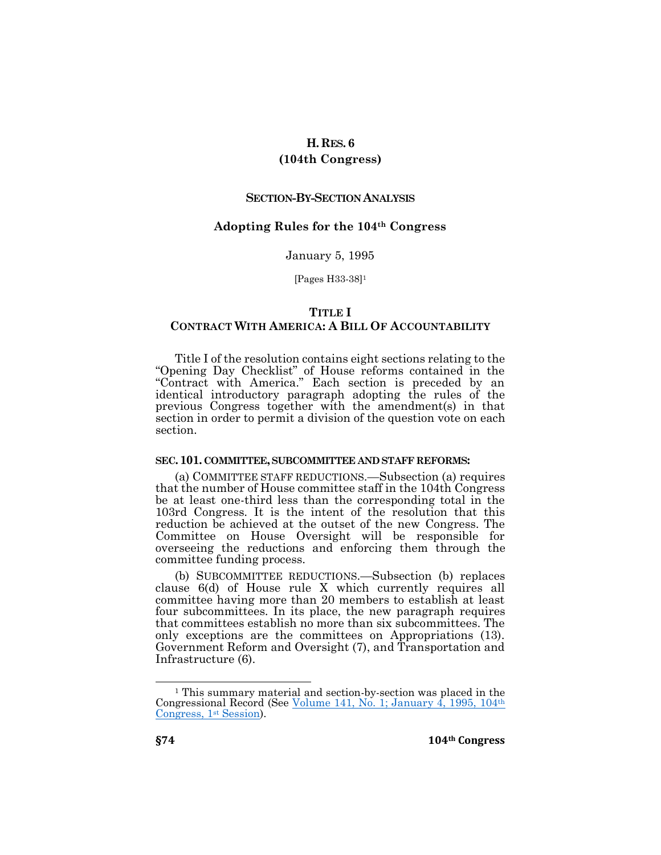### **H.RES. 6**

# **(104th Congress)**

### **SECTION-BY-SECTION ANALYSIS**

# **Adopting Rules for the 104th Congress**

#### January 5, 1995

[Pages H33-38]<sup>1</sup>

### **TITLE I**

# **CONTRACT WITH AMERICA: A BILL OF ACCOUNTABILITY**

Title I of the resolution contains eight sections relating to the "Opening Day Checklist" of House reforms contained in the "Contract with America." Each section is preceded by an identical introductory paragraph adopting the rules of the previous Congress together with the amendment(s) in that section in order to permit a division of the question vote on each section.

### **SEC.101. COMMITTEE,SUBCOMMITTEE AND STAFF REFORMS:**

(a) COMMITTEE STAFF REDUCTIONS.—Subsection (a) requires that the number of House committee staff in the 104th Congress be at least one-third less than the corresponding total in the 103rd Congress. It is the intent of the resolution that this reduction be achieved at the outset of the new Congress. The Committee on House Oversight will be responsible for overseeing the reductions and enforcing them through the committee funding process.

(b) SUBCOMMITTEE REDUCTIONS.—Subsection (b) replaces clause 6(d) of House rule X which currently requires all committee having more than 20 members to establish at least four subcommittees. In its place, the new paragraph requires that committees establish no more than six subcommittees. The only exceptions are the committees on Appropriations (13). Government Reform and Oversight (7), and Transportation and Infrastructure (6).

 $\overline{a}$ 

<sup>1</sup> This summary material and section-by-section was placed in the Congressional Record (See [Volume 141, No. 1; January 4, 1995, 104](https://budgetcounsel.files.wordpress.com/2018/06/congressional-record-text-of-summary-and-section-by-section-of-h-res-6-104th-congress-january-4-1995-h32-h38.pdf)th [Congress, 1](https://budgetcounsel.files.wordpress.com/2018/06/congressional-record-text-of-summary-and-section-by-section-of-h-res-6-104th-congress-january-4-1995-h32-h38.pdf)<sup>st</sup> Session).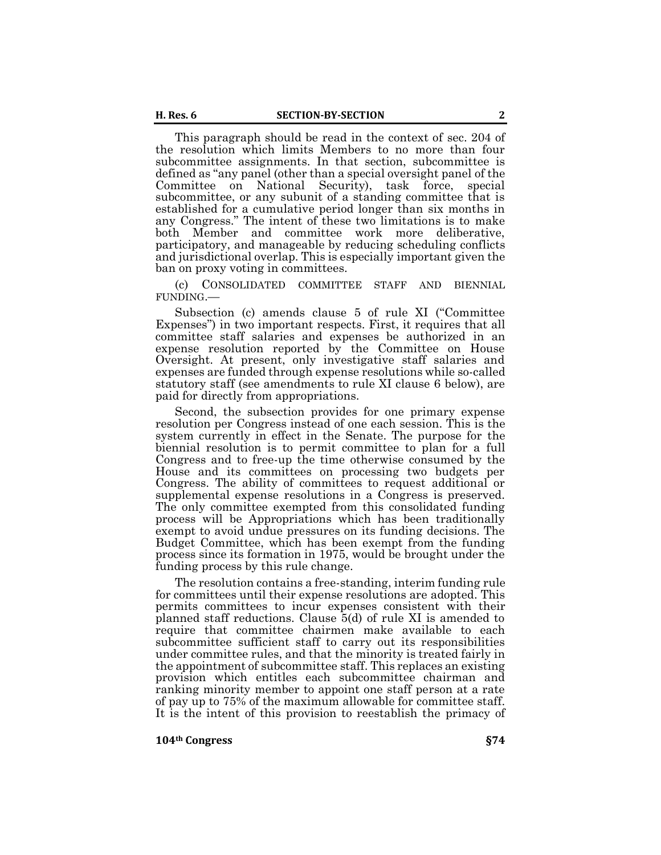This paragraph should be read in the context of sec. 204 of the resolution which limits Members to no more than four subcommittee assignments. In that section, subcommittee is defined as "any panel (other than a special oversight panel of the Committee on National Security), task force, special subcommittee, or any subunit of a standing committee that is established for a cumulative period longer than six months in any Congress." The intent of these two limitations is to make both Member and committee work more deliberative, participatory, and manageable by reducing scheduling conflicts and jurisdictional overlap. This is especially important given the ban on proxy voting in committees.

(c) CONSOLIDATED COMMITTEE STAFF AND BIENNIAL FUNDING.—

Subsection (c) amends clause 5 of rule XI ("Committee Expenses") in two important respects. First, it requires that all committee staff salaries and expenses be authorized in an expense resolution reported by the Committee on House Oversight. At present, only investigative staff salaries and expenses are funded through expense resolutions while so-called statutory staff (see amendments to rule XI clause 6 below), are paid for directly from appropriations.

Second, the subsection provides for one primary expense resolution per Congress instead of one each session. This is the system currently in effect in the Senate. The purpose for the biennial resolution is to permit committee to plan for a full Congress and to free-up the time otherwise consumed by the House and its committees on processing two budgets per Congress. The ability of committees to request additional or supplemental expense resolutions in a Congress is preserved. The only committee exempted from this consolidated funding process will be Appropriations which has been traditionally exempt to avoid undue pressures on its funding decisions. The Budget Committee, which has been exempt from the funding process since its formation in 1975, would be brought under the funding process by this rule change.

The resolution contains a free-standing, interim funding rule for committees until their expense resolutions are adopted. This permits committees to incur expenses consistent with their planned staff reductions. Clause 5(d) of rule XI is amended to require that committee chairmen make available to each subcommittee sufficient staff to carry out its responsibilities under committee rules, and that the minority is treated fairly in the appointment of subcommittee staff. This replaces an existing provision which entitles each subcommittee chairman and ranking minority member to appoint one staff person at a rate of pay up to 75% of the maximum allowable for committee staff. It is the intent of this provision to reestablish the primacy of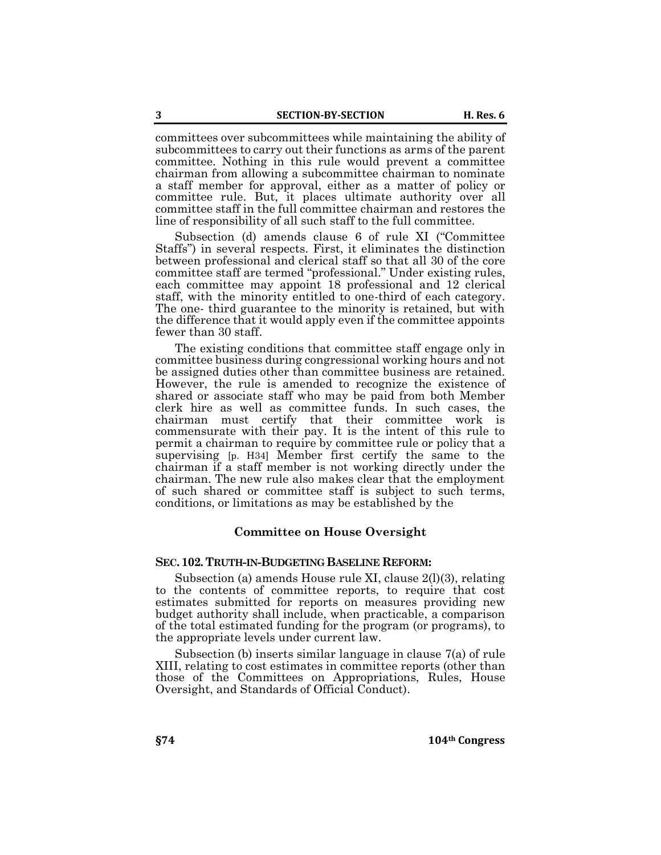committees over subcommittees while maintaining the ability of subcommittees to carry out their functions as arms of the parent committee. Nothing in this rule would prevent a committee chairman from allowing a subcommittee chairman to nominate a staff member for approval, either as a matter of policy or committee rule. But, it places ultimate authority over all committee staff in the full committee chairman and restores the line of responsibility of all such staff to the full committee.

Subsection (d) amends clause 6 of rule XI ("Committee Staffs") in several respects. First, it eliminates the distinction between professional and clerical staff so that all 30 of the core committee staff are termed "professional." Under existing rules, each committee may appoint 18 professional and 12 clerical staff, with the minority entitled to one-third of each category. The one- third guarantee to the minority is retained, but with the difference that it would apply even if the committee appoints fewer than 30 staff.

The existing conditions that committee staff engage only in committee business during congressional working hours and not be assigned duties other than committee business are retained. However, the rule is amended to recognize the existence of shared or associate staff who may be paid from both Member clerk hire as well as committee funds. In such cases, the chairman must certify that their committee work is commensurate with their pay. It is the intent of this rule to permit a chairman to require by committee rule or policy that a supervising [p. H34] Member first certify the same to the chairman if a staff member is not working directly under the chairman. The new rule also makes clear that the employment of such shared or committee staff is subject to such terms, conditions, or limitations as may be established by the

### **Committee on House Oversight**

#### **SEC.102. TRUTH-IN-BUDGETING BASELINE REFORM:**

Subsection (a) amends House rule XI, clause 2(l)(3), relating to the contents of committee reports, to require that cost estimates submitted for reports on measures providing new budget authority shall include, when practicable, a comparison of the total estimated funding for the program (or programs), to the appropriate levels under current law.

Subsection (b) inserts similar language in clause 7(a) of rule XIII, relating to cost estimates in committee reports (other than those of the Committees on Appropriations, Rules, House Oversight, and Standards of Official Conduct).

**§74 104th Congress**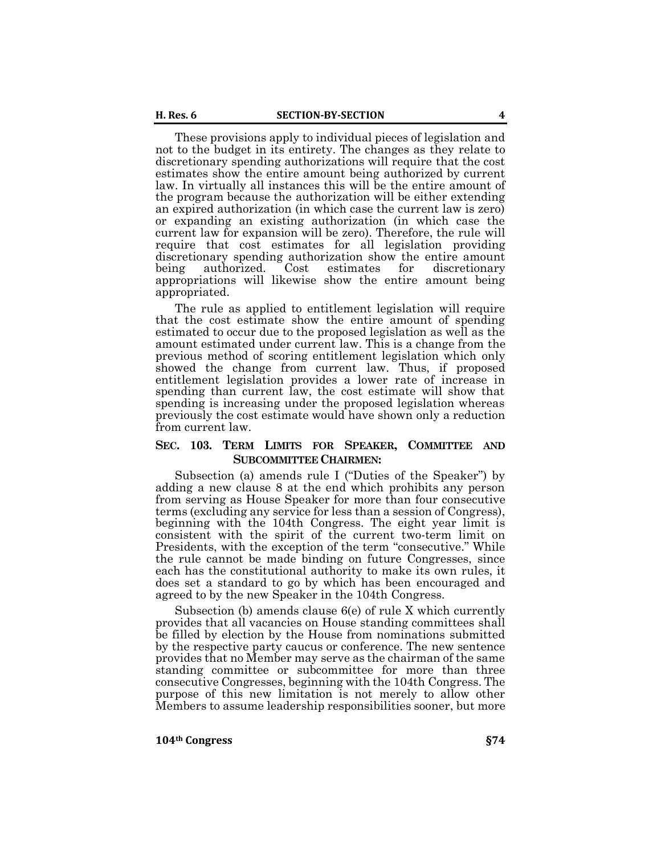These provisions apply to individual pieces of legislation and not to the budget in its entirety. The changes as they relate to discretionary spending authorizations will require that the cost estimates show the entire amount being authorized by current law. In virtually all instances this will be the entire amount of the program because the authorization will be either extending an expired authorization (in which case the current law is zero) or expanding an existing authorization (in which case the current law for expansion will be zero). Therefore, the rule will require that cost estimates for all legislation providing discretionary spending authorization show the entire amount being authorized. Cost estimates for discretionary appropriations will likewise show the entire amount being appropriated.

The rule as applied to entitlement legislation will require that the cost estimate show the entire amount of spending estimated to occur due to the proposed legislation as well as the amount estimated under current law. This is a change from the previous method of scoring entitlement legislation which only showed the change from current law. Thus, if proposed entitlement legislation provides a lower rate of increase in spending than current law, the cost estimate will show that spending is increasing under the proposed legislation whereas previously the cost estimate would have shown only a reduction from current law.

# **SEC. 103. TERM LIMITS FOR SPEAKER, COMMITTEE AND SUBCOMMITTEE CHAIRMEN:**

Subsection (a) amends rule I ("Duties of the Speaker") by adding a new clause 8 at the end which prohibits any person from serving as House Speaker for more than four consecutive terms (excluding any service for less than a session of Congress), beginning with the 104th Congress. The eight year limit is consistent with the spirit of the current two-term limit on Presidents, with the exception of the term "consecutive." While the rule cannot be made binding on future Congresses, since each has the constitutional authority to make its own rules, it does set a standard to go by which has been encouraged and agreed to by the new Speaker in the 104th Congress.

Subsection (b) amends clause 6(e) of rule X which currently provides that all vacancies on House standing committees shall be filled by election by the House from nominations submitted by the respective party caucus or conference. The new sentence provides that no Member may serve as the chairman of the same standing committee or subcommittee for more than three consecutive Congresses, beginning with the 104th Congress. The purpose of this new limitation is not merely to allow other Members to assume leadership responsibilities sooner, but more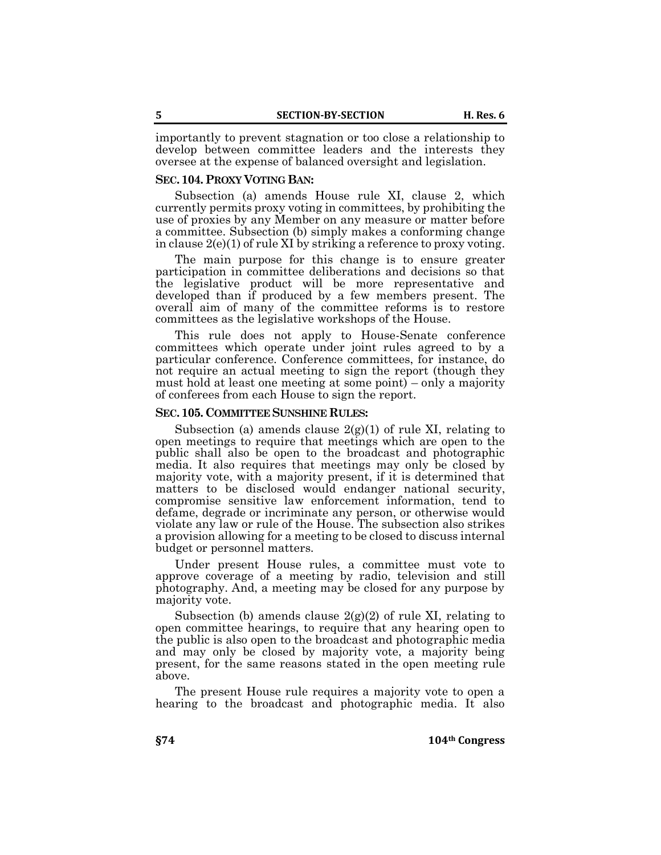importantly to prevent stagnation or too close a relationship to develop between committee leaders and the interests they oversee at the expense of balanced oversight and legislation.

### **SEC.104. PROXY VOTING BAN:**

Subsection (a) amends House rule XI, clause 2, which currently permits proxy voting in committees, by prohibiting the use of proxies by any Member on any measure or matter before a committee. Subsection (b) simply makes a conforming change in clause 2(e)(1) of rule XI by striking a reference to proxy voting.

The main purpose for this change is to ensure greater participation in committee deliberations and decisions so that the legislative product will be more representative and developed than if produced by a few members present. The overall aim of many of the committee reforms is to restore committees as the legislative workshops of the House.

This rule does not apply to House-Senate conference committees which operate under joint rules agreed to by a particular conference. Conference committees, for instance, do not require an actual meeting to sign the report (though they must hold at least one meeting at some point) – only a majority of conferees from each House to sign the report.

#### **SEC.105.COMMITTEE SUNSHINE RULES:**

Subsection (a) amends clause  $2(g)(1)$  of rule XI, relating to open meetings to require that meetings which are open to the public shall also be open to the broadcast and photographic media. It also requires that meetings may only be closed by majority vote, with a majority present, if it is determined that matters to be disclosed would endanger national security, compromise sensitive law enforcement information, tend to defame, degrade or incriminate any person, or otherwise would violate any law or rule of the House. The subsection also strikes a provision allowing for a meeting to be closed to discuss internal budget or personnel matters.

Under present House rules, a committee must vote to approve coverage of a meeting by radio, television and still photography. And, a meeting may be closed for any purpose by majority vote.

Subsection (b) amends clause  $2(g)(2)$  of rule XI, relating to open committee hearings, to require that any hearing open to the public is also open to the broadcast and photographic media and may only be closed by majority vote, a majority being present, for the same reasons stated in the open meeting rule above.

The present House rule requires a majority vote to open a hearing to the broadcast and photographic media. It also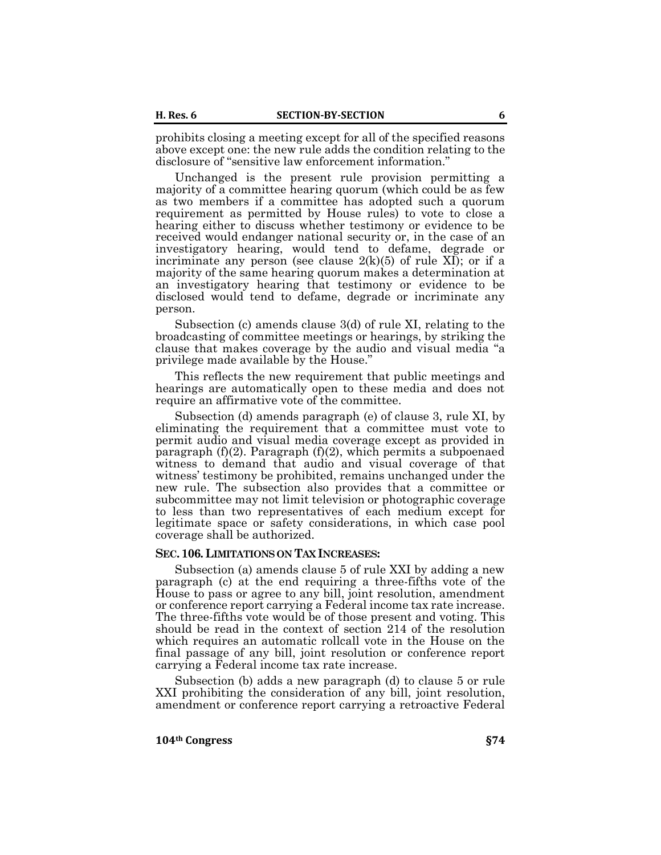prohibits closing a meeting except for all of the specified reasons above except one: the new rule adds the condition relating to the disclosure of "sensitive law enforcement information."

Unchanged is the present rule provision permitting a majority of a committee hearing quorum (which could be as few as two members if a committee has adopted such a quorum requirement as permitted by House rules) to vote to close a hearing either to discuss whether testimony or evidence to be received would endanger national security or, in the case of an investigatory hearing, would tend to defame, degrade or incriminate any person (see clause  $2(k)(5)$  of rule XI); or if a majority of the same hearing quorum makes a determination at an investigatory hearing that testimony or evidence to be disclosed would tend to defame, degrade or incriminate any person.

Subsection (c) amends clause 3(d) of rule XI, relating to the broadcasting of committee meetings or hearings, by striking the clause that makes coverage by the audio and visual media "a privilege made available by the House."

This reflects the new requirement that public meetings and hearings are automatically open to these media and does not require an affirmative vote of the committee.

Subsection (d) amends paragraph (e) of clause 3, rule XI, by eliminating the requirement that a committee must vote to permit audio and visual media coverage except as provided in paragraph  $(f)(2)$ . Paragraph  $(f)(2)$ , which permits a subpoenaed witness to demand that audio and visual coverage of that witness' testimony be prohibited, remains unchanged under the new rule. The subsection also provides that a committee or subcommittee may not limit television or photographic coverage to less than two representatives of each medium except for legitimate space or safety considerations, in which case pool coverage shall be authorized.

#### **SEC.106. LIMITATIONS ON TAX INCREASES:**

Subsection (a) amends clause 5 of rule XXI by adding a new paragraph (c) at the end requiring a three-fifths vote of the House to pass or agree to any bill, joint resolution, amendment or conference report carrying a Federal income tax rate increase. The three-fifths vote would be of those present and voting. This should be read in the context of section 214 of the resolution which requires an automatic rollcall vote in the House on the final passage of any bill, joint resolution or conference report carrying a Federal income tax rate increase.

Subsection (b) adds a new paragraph (d) to clause 5 or rule XXI prohibiting the consideration of any bill, joint resolution, amendment or conference report carrying a retroactive Federal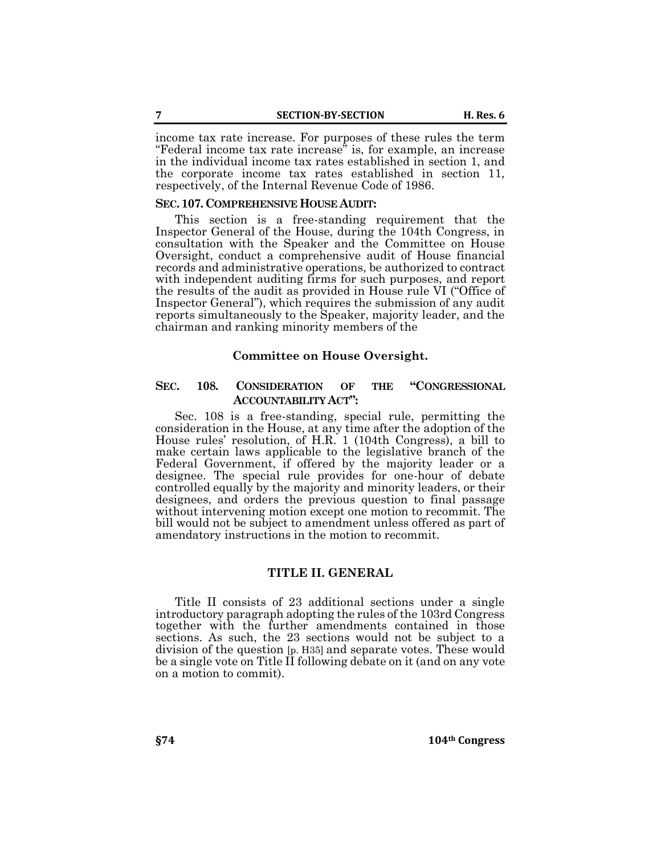income tax rate increase. For purposes of these rules the term "Federal income tax rate increase" is, for example, an increase in the individual income tax rates established in section 1, and the corporate income tax rates established in section 11, respectively, of the Internal Revenue Code of 1986.

### **SEC.107.COMPREHENSIVE HOUSE AUDIT:**

This section is a free-standing requirement that the Inspector General of the House, during the 104th Congress, in consultation with the Speaker and the Committee on House Oversight, conduct a comprehensive audit of House financial records and administrative operations, be authorized to contract with independent auditing firms for such purposes, and report the results of the audit as provided in House rule VI ("Office of Inspector General"), which requires the submission of any audit reports simultaneously to the Speaker, majority leader, and the chairman and ranking minority members of the

### **Committee on House Oversight.**

# **SEC. 108. CONSIDERATION OF THE "CONGRESSIONAL ACCOUNTABILITY ACT":**

Sec. 108 is a free-standing, special rule, permitting the consideration in the House, at any time after the adoption of the House rules' resolution, of H.R. 1 (104th Congress), a bill to make certain laws applicable to the legislative branch of the Federal Government, if offered by the majority leader or a designee. The special rule provides for one-hour of debate controlled equally by the majority and minority leaders, or their designees, and orders the previous question to final passage without intervening motion except one motion to recommit. The bill would not be subject to amendment unless offered as part of amendatory instructions in the motion to recommit.

#### **TITLE II. GENERAL**

Title II consists of 23 additional sections under a single introductory paragraph adopting the rules of the 103rd Congress together with the further amendments contained in those sections. As such, the 23 sections would not be subject to a division of the question [p. H35] and separate votes. These would be a single vote on Title II following debate on it (and on any vote on a motion to commit).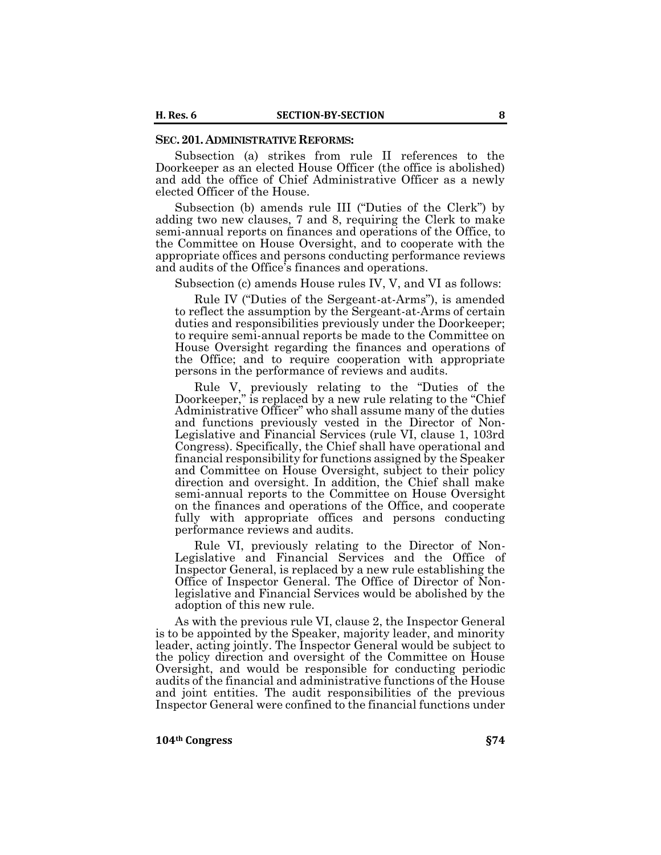#### **SEC.201. ADMINISTRATIVE REFORMS:**

Subsection (a) strikes from rule II references to the Doorkeeper as an elected House Officer (the office is abolished) and add the office of Chief Administrative Officer as a newly elected Officer of the House.

Subsection (b) amends rule III ("Duties of the Clerk") by adding two new clauses, 7 and 8, requiring the Clerk to make semi-annual reports on finances and operations of the Office, to the Committee on House Oversight, and to cooperate with the appropriate offices and persons conducting performance reviews and audits of the Office's finances and operations.

Subsection (c) amends House rules IV, V, and VI as follows:

Rule IV ("Duties of the Sergeant-at-Arms"), is amended to reflect the assumption by the Sergeant-at-Arms of certain duties and responsibilities previously under the Doorkeeper; to require semi-annual reports be made to the Committee on House Oversight regarding the finances and operations of the Office; and to require cooperation with appropriate persons in the performance of reviews and audits.

Rule V, previously relating to the "Duties of the Doorkeeper," is replaced by a new rule relating to the "Chief Administrative Officer" who shall assume many of the duties and functions previously vested in the Director of Non-Legislative and Financial Services (rule VI, clause 1, 103rd Congress). Specifically, the Chief shall have operational and financial responsibility for functions assigned by the Speaker and Committee on House Oversight, subject to their policy direction and oversight. In addition, the Chief shall make semi-annual reports to the Committee on House Oversight on the finances and operations of the Office, and cooperate fully with appropriate offices and persons conducting performance reviews and audits.

Rule VI, previously relating to the Director of Non-Legislative and Financial Services and the Office of Inspector General, is replaced by a new rule establishing the Office of Inspector General. The Office of Director of Nonlegislative and Financial Services would be abolished by the adoption of this new rule.

As with the previous rule VI, clause 2, the Inspector General is to be appointed by the Speaker, majority leader, and minority leader, acting jointly. The Inspector General would be subject to the policy direction and oversight of the Committee on House Oversight, and would be responsible for conducting periodic audits of the financial and administrative functions of the House and joint entities. The audit responsibilities of the previous Inspector General were confined to the financial functions under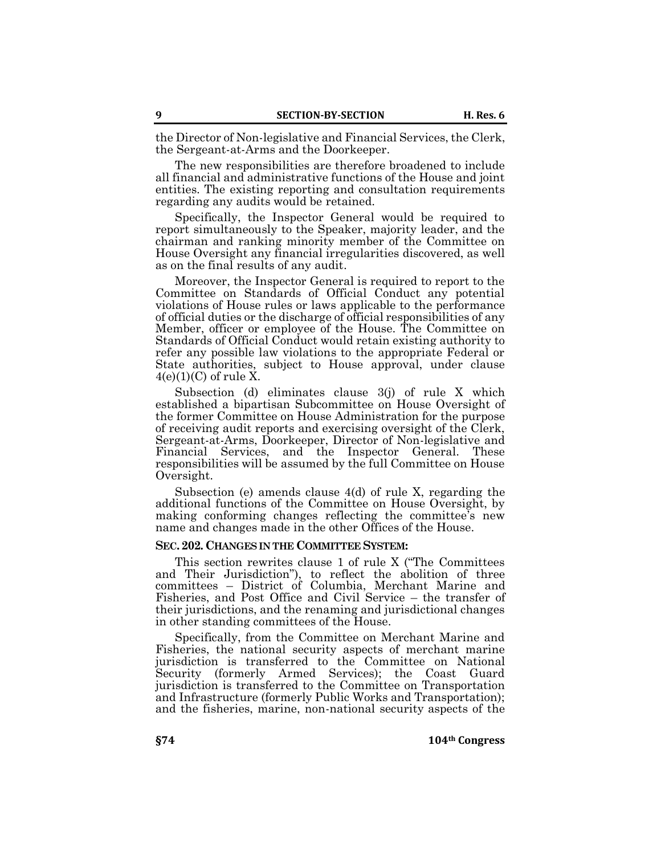the Director of Non-legislative and Financial Services, the Clerk, the Sergeant-at-Arms and the Doorkeeper.

The new responsibilities are therefore broadened to include all financial and administrative functions of the House and joint entities. The existing reporting and consultation requirements regarding any audits would be retained.

Specifically, the Inspector General would be required to report simultaneously to the Speaker, majority leader, and the chairman and ranking minority member of the Committee on House Oversight any financial irregularities discovered, as well as on the final results of any audit.

Moreover, the Inspector General is required to report to the Committee on Standards of Official Conduct any potential violations of House rules or laws applicable to the performance of official duties or the discharge of official responsibilities of any Member, officer or employee of the House. The Committee on Standards of Official Conduct would retain existing authority to refer any possible law violations to the appropriate Federal or State authorities, subject to House approval, under clause  $4(e)(1)(C)$  of rule X.

Subsection (d) eliminates clause 3(j) of rule X which established a bipartisan Subcommittee on House Oversight of the former Committee on House Administration for the purpose of receiving audit reports and exercising oversight of the Clerk, Sergeant-at-Arms, Doorkeeper, Director of Non-legislative and Financial Services, and the Inspector General. These responsibilities will be assumed by the full Committee on House Oversight.

Subsection (e) amends clause 4(d) of rule X, regarding the additional functions of the Committee on House Oversight, by making conforming changes reflecting the committee's new name and changes made in the other Offices of the House.

### **SEC.202.CHANGES IN THE COMMITTEE SYSTEM:**

This section rewrites clause 1 of rule X ("The Committees and Their Jurisdiction"), to reflect the abolition of three committees – District of Columbia, Merchant Marine and Fisheries, and Post Office and Civil Service – the transfer of their jurisdictions, and the renaming and jurisdictional changes in other standing committees of the House.

Specifically, from the Committee on Merchant Marine and Fisheries, the national security aspects of merchant marine jurisdiction is transferred to the Committee on National Security (formerly Armed Services); the Coast Guard jurisdiction is transferred to the Committee on Transportation and Infrastructure (formerly Public Works and Transportation); and the fisheries, marine, non-national security aspects of the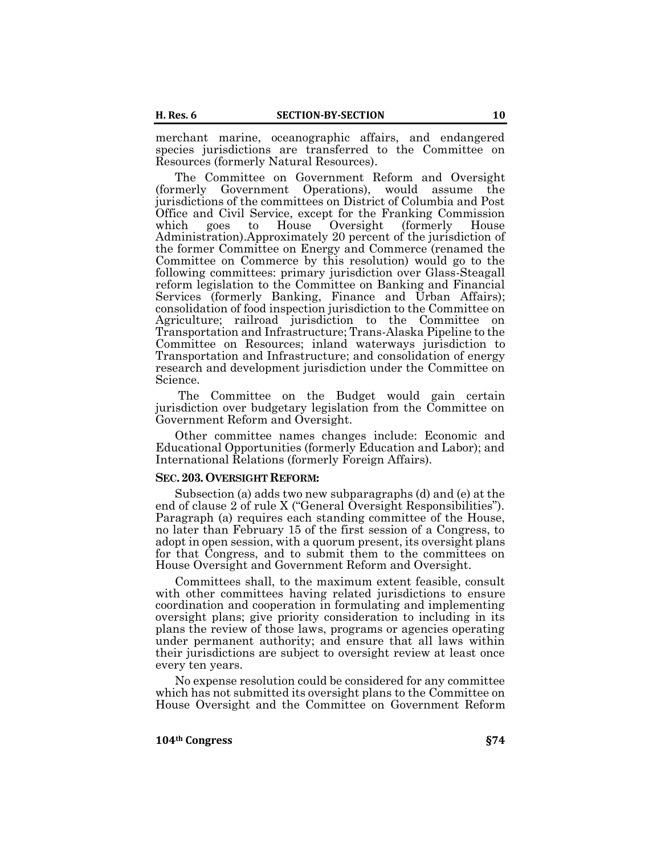merchant marine, oceanographic affairs, and endangered species jurisdictions are transferred to the Committee on Resources (formerly Natural Resources).

The Committee on Government Reform and Oversight (formerly Government Operations), would assume the jurisdictions of the committees on District of Columbia and Post Office and Civil Service, except for the Franking Commission which goes to House Oversight (formerly House Administration).Approximately 20 percent of the jurisdiction of the former Committee on Energy and Commerce (renamed the Committee on Commerce by this resolution) would go to the following committees: primary jurisdiction over Glass-Steagall reform legislation to the Committee on Banking and Financial Services (formerly Banking, Finance and Urban Affairs); consolidation of food inspection jurisdiction to the Committee on Agriculture; railroad jurisdiction to the Committee on Transportation and Infrastructure; Trans-Alaska Pipeline to the Committee on Resources; inland waterways jurisdiction to Transportation and Infrastructure; and consolidation of energy research and development jurisdiction under the Committee on Science.

The Committee on the Budget would gain certain jurisdiction over budgetary legislation from the Committee on Government Reform and Oversight.

Other committee names changes include: Economic and Educational Opportunities (formerly Education and Labor); and International Relations (formerly Foreign Affairs).

#### **SEC.203. OVERSIGHT REFORM:**

Subsection (a) adds two new subparagraphs (d) and (e) at the end of clause 2 of rule X ("General Oversight Responsibilities"). Paragraph (a) requires each standing committee of the House, no later than February 15 of the first session of a Congress, to adopt in open session, with a quorum present, its oversight plans for that Congress, and to submit them to the committees on House Oversight and Government Reform and Oversight.

Committees shall, to the maximum extent feasible, consult with other committees having related jurisdictions to ensure coordination and cooperation in formulating and implementing oversight plans; give priority consideration to including in its plans the review of those laws, programs or agencies operating under permanent authority; and ensure that all laws within their jurisdictions are subject to oversight review at least once every ten years.

No expense resolution could be considered for any committee which has not submitted its oversight plans to the Committee on House Oversight and the Committee on Government Reform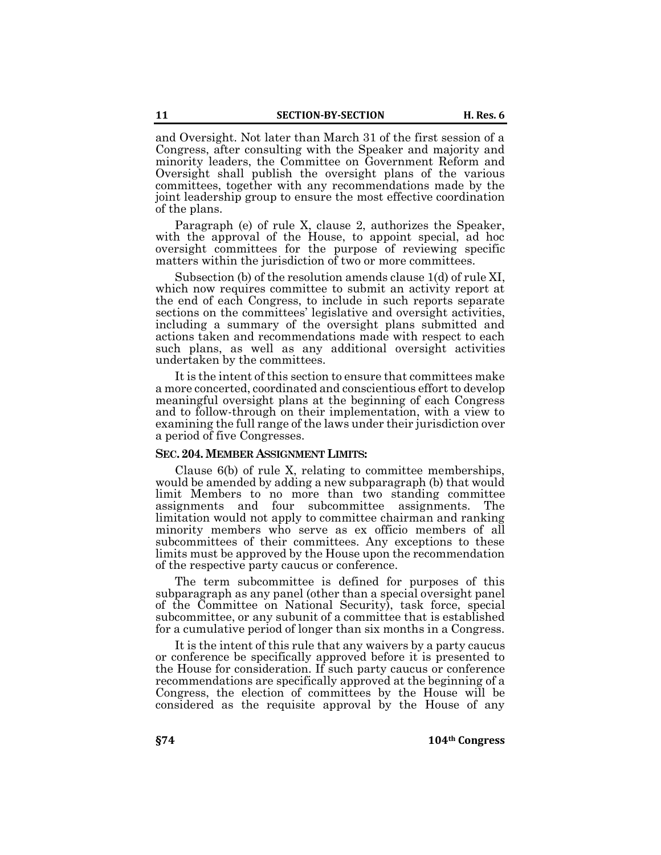and Oversight. Not later than March 31 of the first session of a Congress, after consulting with the Speaker and majority and minority leaders, the Committee on Government Reform and Oversight shall publish the oversight plans of the various committees, together with any recommendations made by the joint leadership group to ensure the most effective coordination of the plans.

Paragraph (e) of rule X, clause 2, authorizes the Speaker, with the approval of the House, to appoint special, ad hoc oversight committees for the purpose of reviewing specific matters within the jurisdiction of two or more committees.

Subsection (b) of the resolution amends clause 1(d) of rule XI, which now requires committee to submit an activity report at the end of each Congress, to include in such reports separate sections on the committees' legislative and oversight activities, including a summary of the oversight plans submitted and actions taken and recommendations made with respect to each such plans, as well as any additional oversight activities undertaken by the committees.

It is the intent of this section to ensure that committees make a more concerted, coordinated and conscientious effort to develop meaningful oversight plans at the beginning of each Congress and to follow-through on their implementation, with a view to examining the full range of the laws under their jurisdiction over a period of five Congresses.

### **SEC.204.MEMBER ASSIGNMENT LIMITS:**

Clause 6(b) of rule X, relating to committee memberships, would be amended by adding a new subparagraph (b) that would limit Members to no more than two standing committee assignments and four subcommittee assignments. The limitation would not apply to committee chairman and ranking minority members who serve as ex officio members of all subcommittees of their committees. Any exceptions to these limits must be approved by the House upon the recommendation of the respective party caucus or conference.

The term subcommittee is defined for purposes of this subparagraph as any panel (other than a special oversight panel of the Committee on National Security), task force, special subcommittee, or any subunit of a committee that is established for a cumulative period of longer than six months in a Congress.

It is the intent of this rule that any waivers by a party caucus or conference be specifically approved before it is presented to the House for consideration. If such party caucus or conference recommendations are specifically approved at the beginning of a Congress, the election of committees by the House will be considered as the requisite approval by the House of any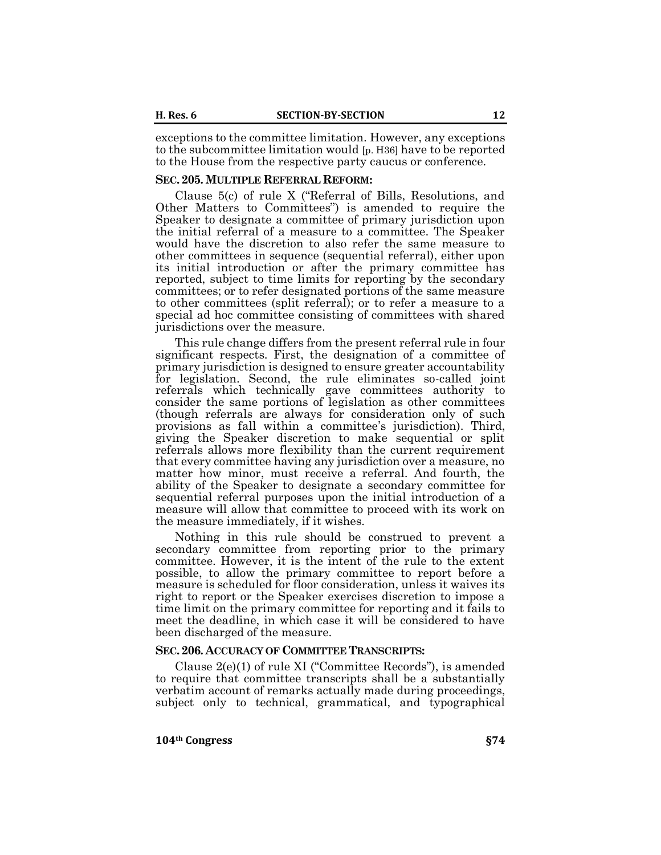exceptions to the committee limitation. However, any exceptions to the subcommittee limitation would [p. H36] have to be reported to the House from the respective party caucus or conference.

### **SEC.205.MULTIPLE REFERRAL REFORM:**

Clause 5(c) of rule X ("Referral of Bills, Resolutions, and Other Matters to Committees") is amended to require the Speaker to designate a committee of primary jurisdiction upon the initial referral of a measure to a committee. The Speaker would have the discretion to also refer the same measure to other committees in sequence (sequential referral), either upon its initial introduction or after the primary committee has reported, subject to time limits for reporting by the secondary committees; or to refer designated portions of the same measure to other committees (split referral); or to refer a measure to a special ad hoc committee consisting of committees with shared jurisdictions over the measure.

This rule change differs from the present referral rule in four significant respects. First, the designation of a committee of primary jurisdiction is designed to ensure greater accountability for legislation. Second, the rule eliminates so-called joint referrals which technically gave committees authority to consider the same portions of legislation as other committees (though referrals are always for consideration only of such provisions as fall within a committee's jurisdiction). Third, giving the Speaker discretion to make sequential or split referrals allows more flexibility than the current requirement that every committee having any jurisdiction over a measure, no matter how minor, must receive a referral. And fourth, the ability of the Speaker to designate a secondary committee for sequential referral purposes upon the initial introduction of a measure will allow that committee to proceed with its work on the measure immediately, if it wishes.

Nothing in this rule should be construed to prevent a secondary committee from reporting prior to the primary committee. However, it is the intent of the rule to the extent possible, to allow the primary committee to report before a measure is scheduled for floor consideration, unless it waives its right to report or the Speaker exercises discretion to impose a time limit on the primary committee for reporting and it fails to meet the deadline, in which case it will be considered to have been discharged of the measure.

#### **SEC.206. ACCURACY OF COMMITTEE TRANSCRIPTS:**

Clause 2(e)(1) of rule XI ("Committee Records"), is amended to require that committee transcripts shall be a substantially verbatim account of remarks actually made during proceedings, subject only to technical, grammatical, and typographical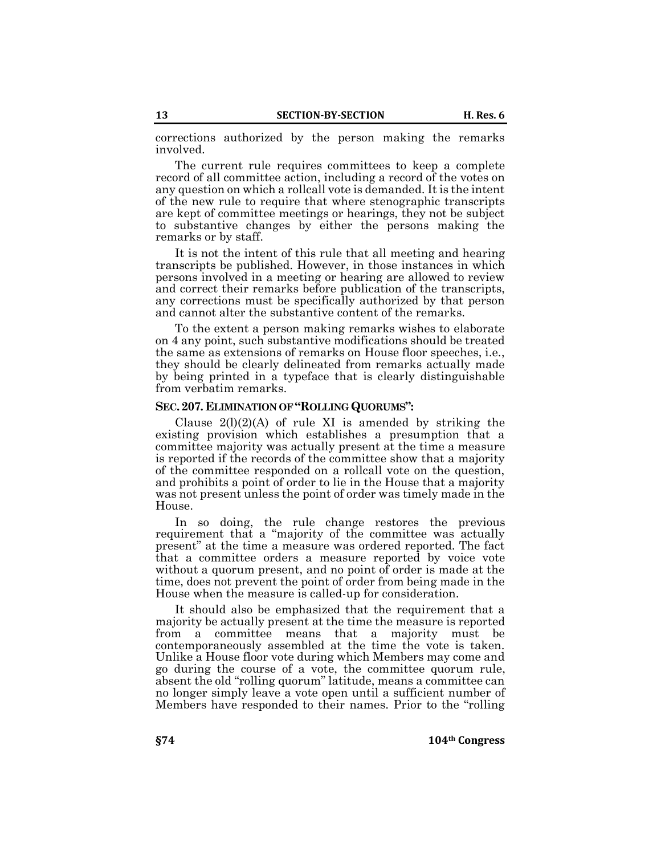corrections authorized by the person making the remarks involved.

The current rule requires committees to keep a complete record of all committee action, including a record of the votes on any question on which a rollcall vote is demanded. It is the intent of the new rule to require that where stenographic transcripts are kept of committee meetings or hearings, they not be subject to substantive changes by either the persons making the remarks or by staff.

It is not the intent of this rule that all meeting and hearing transcripts be published. However, in those instances in which persons involved in a meeting or hearing are allowed to review and correct their remarks before publication of the transcripts, any corrections must be specifically authorized by that person and cannot alter the substantive content of the remarks.

To the extent a person making remarks wishes to elaborate on 4 any point, such substantive modifications should be treated the same as extensions of remarks on House floor speeches, i.e., they should be clearly delineated from remarks actually made by being printed in a typeface that is clearly distinguishable from verbatim remarks.

### **SEC.207. ELIMINATION OF "ROLLING QUORUMS":**

Clause  $2(1)(2)(A)$  of rule XI is amended by striking the existing provision which establishes a presumption that a committee majority was actually present at the time a measure is reported if the records of the committee show that a majority of the committee responded on a rollcall vote on the question, and prohibits a point of order to lie in the House that a majority was not present unless the point of order was timely made in the House.

In so doing, the rule change restores the previous requirement that a "majority of the committee was actually present" at the time a measure was ordered reported. The fact that a committee orders a measure reported by voice vote without a quorum present, and no point of order is made at the time, does not prevent the point of order from being made in the House when the measure is called-up for consideration.

It should also be emphasized that the requirement that a majority be actually present at the time the measure is reported from a committee means that a majority must be contemporaneously assembled at the time the vote is taken. Unlike a House floor vote during which Members may come and go during the course of a vote, the committee quorum rule, absent the old "rolling quorum" latitude, means a committee can no longer simply leave a vote open until a sufficient number of Members have responded to their names. Prior to the "rolling

**§74 104th Congress**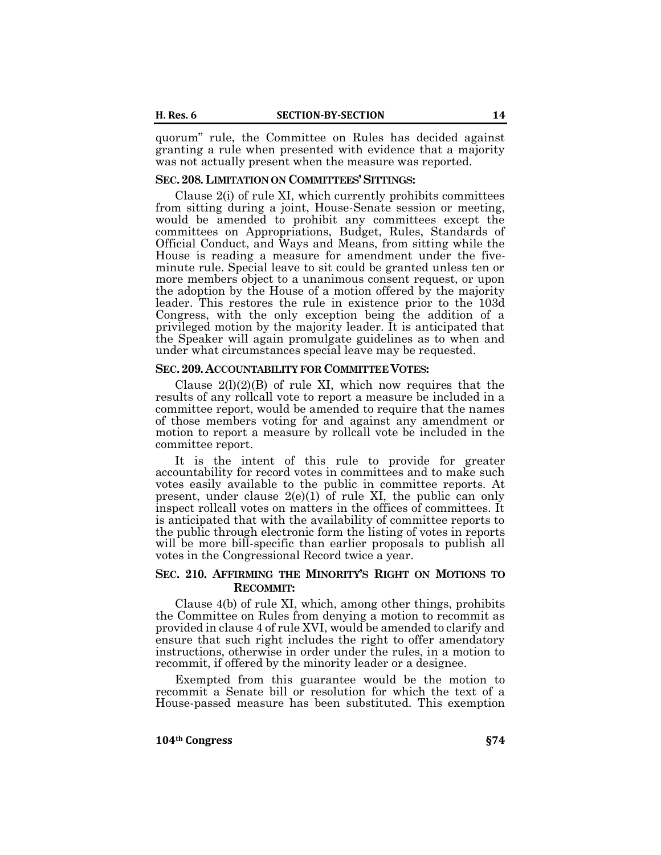quorum" rule, the Committee on Rules has decided against granting a rule when presented with evidence that a majority was not actually present when the measure was reported.

#### **SEC.208. LIMITATION ON COMMITTEES'SITTINGS:**

Clause 2(i) of rule XI, which currently prohibits committees from sitting during a joint, House-Senate session or meeting, would be amended to prohibit any committees except the committees on Appropriations, Budget, Rules, Standards of Official Conduct, and Ways and Means, from sitting while the House is reading a measure for amendment under the fiveminute rule. Special leave to sit could be granted unless ten or more members object to a unanimous consent request, or upon the adoption by the House of a motion offered by the majority leader. This restores the rule in existence prior to the 103d Congress, with the only exception being the addition of a privileged motion by the majority leader. It is anticipated that the Speaker will again promulgate guidelines as to when and under what circumstances special leave may be requested.

### **SEC.209. ACCOUNTABILITY FOR COMMITTEE VOTES:**

Clause  $2(1)(2)(B)$  of rule XI, which now requires that the results of any rollcall vote to report a measure be included in a committee report, would be amended to require that the names of those members voting for and against any amendment or motion to report a measure by rollcall vote be included in the committee report.

It is the intent of this rule to provide for greater accountability for record votes in committees and to make such votes easily available to the public in committee reports. At present, under clause  $2(e)(1)$  of rule XI, the public can only inspect rollcall votes on matters in the offices of committees. It is anticipated that with the availability of committee reports to the public through electronic form the listing of votes in reports will be more bill-specific than earlier proposals to publish all votes in the Congressional Record twice a year.

# **SEC. 210. AFFIRMING THE MINORITY'S RIGHT ON MOTIONS TO RECOMMIT:**

Clause 4(b) of rule XI, which, among other things, prohibits the Committee on Rules from denying a motion to recommit as provided in clause 4 of rule XVI, would be amended to clarify and ensure that such right includes the right to offer amendatory instructions, otherwise in order under the rules, in a motion to recommit, if offered by the minority leader or a designee.

Exempted from this guarantee would be the motion to recommit a Senate bill or resolution for which the text of a House-passed measure has been substituted. This exemption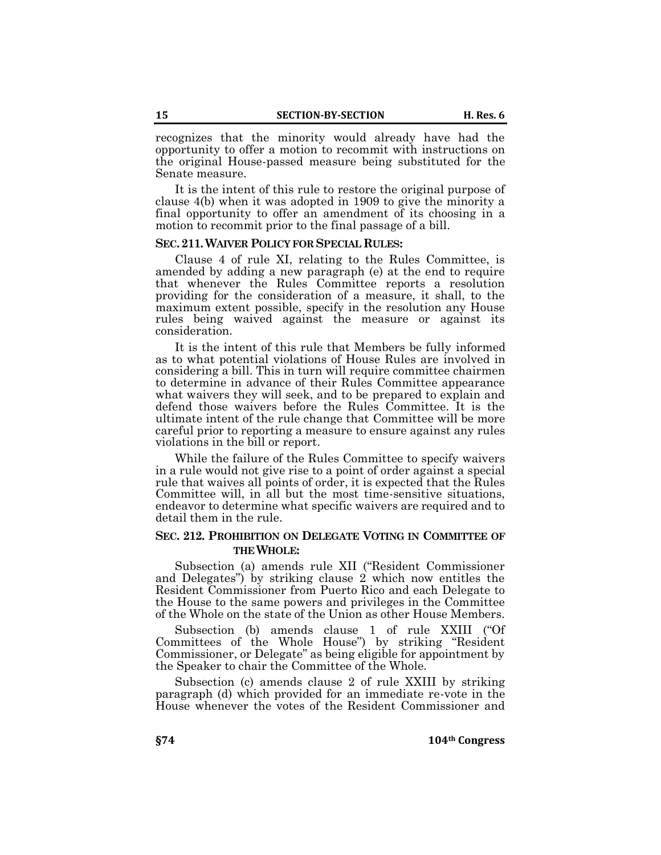recognizes that the minority would already have had the opportunity to offer a motion to recommit with instructions on the original House-passed measure being substituted for the Senate measure.

It is the intent of this rule to restore the original purpose of clause 4(b) when it was adopted in 1909 to give the minority a final opportunity to offer an amendment of its choosing in a motion to recommit prior to the final passage of a bill.

### **SEC.211.WAIVER POLICY FOR SPECIAL RULES:**

Clause 4 of rule XI, relating to the Rules Committee, is amended by adding a new paragraph (e) at the end to require that whenever the Rules Committee reports a resolution providing for the consideration of a measure, it shall, to the maximum extent possible, specify in the resolution any House rules being waived against the measure or against its consideration.

It is the intent of this rule that Members be fully informed as to what potential violations of House Rules are involved in considering a bill. This in turn will require committee chairmen to determine in advance of their Rules Committee appearance what waivers they will seek, and to be prepared to explain and defend those waivers before the Rules Committee. It is the ultimate intent of the rule change that Committee will be more careful prior to reporting a measure to ensure against any rules violations in the bill or report.

While the failure of the Rules Committee to specify waivers in a rule would not give rise to a point of order against a special rule that waives all points of order, it is expected that the Rules Committee will, in all but the most time-sensitive situations, endeavor to determine what specific waivers are required and to detail them in the rule.

# **SEC. 212. PROHIBITION ON DELEGATE VOTING IN COMMITTEE OF THE WHOLE:**

Subsection (a) amends rule XII ("Resident Commissioner and Delegates") by striking clause 2 which now entitles the Resident Commissioner from Puerto Rico and each Delegate to the House to the same powers and privileges in the Committee of the Whole on the state of the Union as other House Members.

Subsection (b) amends clause 1 of rule XXIII ("Of Committees of the Whole House") by striking "Resident Commissioner, or Delegate" as being eligible for appointment by the Speaker to chair the Committee of the Whole.

Subsection (c) amends clause 2 of rule XXIII by striking paragraph (d) which provided for an immediate re-vote in the House whenever the votes of the Resident Commissioner and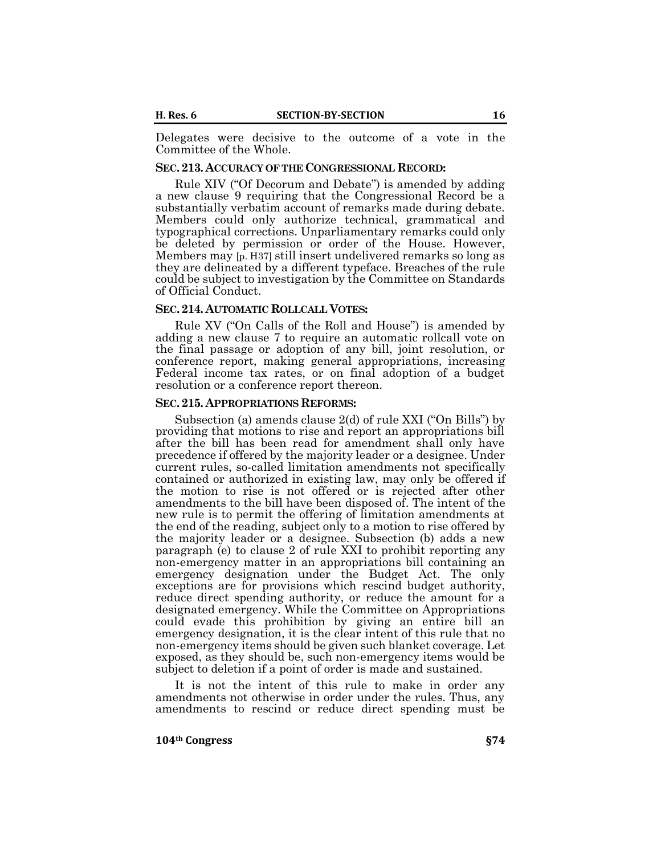Delegates were decisive to the outcome of a vote in the Committee of the Whole.

# **SEC.213. ACCURACY OF THE CONGRESSIONAL RECORD:**

Rule XIV ("Of Decorum and Debate") is amended by adding a new clause 9 requiring that the Congressional Record be a substantially verbatim account of remarks made during debate. Members could only authorize technical, grammatical and typographical corrections. Unparliamentary remarks could only be deleted by permission or order of the House. However, Members may [p. H37] still insert undelivered remarks so long as they are delineated by a different typeface. Breaches of the rule could be subject to investigation by the Committee on Standards of Official Conduct.

#### **SEC.214. AUTOMATIC ROLLCALL VOTES:**

Rule XV ("On Calls of the Roll and House") is amended by adding a new clause 7 to require an automatic rollcall vote on the final passage or adoption of any bill, joint resolution, or conference report, making general appropriations, increasing Federal income tax rates, or on final adoption of a budget resolution or a conference report thereon.

#### **SEC.215. APPROPRIATIONS REFORMS:**

Subsection (a) amends clause 2(d) of rule XXI ("On Bills") by providing that motions to rise and report an appropriations bill after the bill has been read for amendment shall only have precedence if offered by the majority leader or a designee. Under current rules, so-called limitation amendments not specifically contained or authorized in existing law, may only be offered if the motion to rise is not offered or is rejected after other amendments to the bill have been disposed of. The intent of the new rule is to permit the offering of limitation amendments at the end of the reading, subject only to a motion to rise offered by the majority leader or a designee. Subsection (b) adds a new paragraph (e) to clause 2 of rule XXI to prohibit reporting any non-emergency matter in an appropriations bill containing an emergency designation under the Budget Act. The only exceptions are for provisions which rescind budget authority, reduce direct spending authority, or reduce the amount for a designated emergency. While the Committee on Appropriations could evade this prohibition by giving an entire bill an emergency designation, it is the clear intent of this rule that no non-emergency items should be given such blanket coverage. Let exposed, as they should be, such non-emergency items would be subject to deletion if a point of order is made and sustained.

It is not the intent of this rule to make in order any amendments not otherwise in order under the rules. Thus, any amendments to rescind or reduce direct spending must be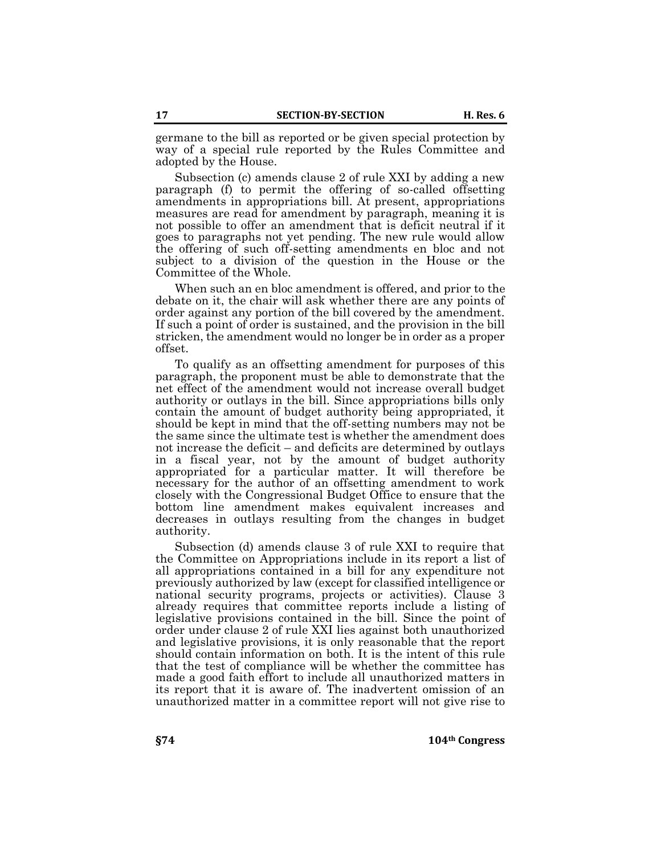germane to the bill as reported or be given special protection by way of a special rule reported by the Rules Committee and adopted by the House.

Subsection (c) amends clause 2 of rule XXI by adding a new paragraph (f) to permit the offering of so-called offsetting amendments in appropriations bill. At present, appropriations measures are read for amendment by paragraph, meaning it is not possible to offer an amendment that is deficit neutral if it goes to paragraphs not yet pending. The new rule would allow the offering of such off-setting amendments en bloc and not subject to a division of the question in the House or the Committee of the Whole.

When such an en bloc amendment is offered, and prior to the debate on it, the chair will ask whether there are any points of order against any portion of the bill covered by the amendment. If such a point of order is sustained, and the provision in the bill stricken, the amendment would no longer be in order as a proper offset.

To qualify as an offsetting amendment for purposes of this paragraph, the proponent must be able to demonstrate that the net effect of the amendment would not increase overall budget authority or outlays in the bill. Since appropriations bills only contain the amount of budget authority being appropriated, it should be kept in mind that the off-setting numbers may not be the same since the ultimate test is whether the amendment does not increase the deficit – and deficits are determined by outlays in a fiscal year, not by the amount of budget authority appropriated for a particular matter. It will therefore be necessary for the author of an offsetting amendment to work closely with the Congressional Budget Office to ensure that the bottom line amendment makes equivalent increases and decreases in outlays resulting from the changes in budget authority.

Subsection (d) amends clause 3 of rule XXI to require that the Committee on Appropriations include in its report a list of all appropriations contained in a bill for any expenditure not previously authorized by law (except for classified intelligence or national security programs, projects or activities). Clause 3 already requires that committee reports include a listing of legislative provisions contained in the bill. Since the point of order under clause 2 of rule XXI lies against both unauthorized and legislative provisions, it is only reasonable that the report should contain information on both. It is the intent of this rule that the test of compliance will be whether the committee has made a good faith effort to include all unauthorized matters in its report that it is aware of. The inadvertent omission of an unauthorized matter in a committee report will not give rise to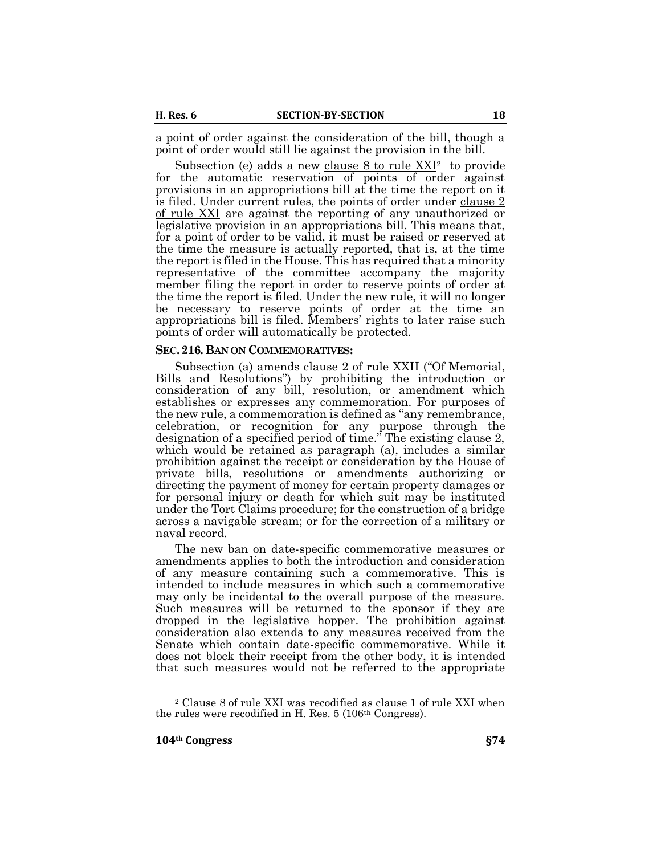a point of order against the consideration of the bill, though a point of order would still lie against the provision in the bill.

Subsection (e) adds a new clause  $8$  to rule  $XXI<sup>2</sup>$  to provide for the automatic reservation of points of order against provisions in an appropriations bill at the time the report on it is filed. Under current rules, the points of order under [clause 2](https://budgetcounsel.com/laws-and-rules/004-clause-2-of-rule-xxi/)  [of rule XXI](https://budgetcounsel.com/laws-and-rules/004-clause-2-of-rule-xxi/) are against the reporting of any unauthorized or legislative provision in an appropriations bill. This means that, for a point of order to be valid, it must be raised or reserved at the time the measure is actually reported, that is, at the time the report is filed in the House. This has required that a minority representative of the committee accompany the majority member filing the report in order to reserve points of order at the time the report is filed. Under the new rule, it will no longer be necessary to reserve points of order at the time an appropriations bill is filed. Members' rights to later raise such points of order will automatically be protected.

#### **SEC.216.BAN ON COMMEMORATIVES:**

Subsection (a) amends clause 2 of rule XXII ("Of Memorial, Bills and Resolutions") by prohibiting the introduction or consideration of any bill, resolution, or amendment which establishes or expresses any commemoration. For purposes of the new rule, a commemoration is defined as "any remembrance, celebration, or recognition for any purpose through the designation of a specified period of time." The existing clause 2, which would be retained as paragraph (a), includes a similar prohibition against the receipt or consideration by the House of private bills, resolutions or amendments authorizing or directing the payment of money for certain property damages or for personal injury or death for which suit may be instituted under the Tort Claims procedure; for the construction of a bridge across a navigable stream; or for the correction of a military or naval record.

The new ban on date-specific commemorative measures or amendments applies to both the introduction and consideration of any measure containing such a commemorative. This is intended to include measures in which such a commemorative may only be incidental to the overall purpose of the measure. Such measures will be returned to the sponsor if they are dropped in the legislative hopper. The prohibition against consideration also extends to any measures received from the Senate which contain date-specific commemorative. While it does not block their receipt from the other body, it is intended that such measures would not be referred to the appropriate

 $\overline{a}$ 

<sup>2</sup> Clause 8 of rule XXI was recodified as clause 1 of rule XXI when the rules were recodified in H. Res. 5 (106th Congress).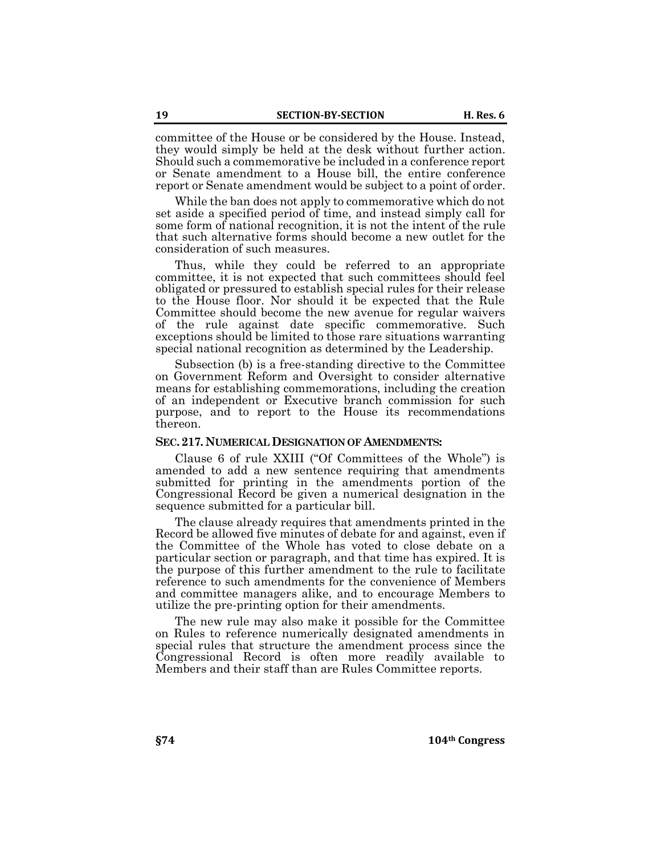committee of the House or be considered by the House. Instead, they would simply be held at the desk without further action. Should such a commemorative be included in a conference report or Senate amendment to a House bill, the entire conference report or Senate amendment would be subject to a point of order.

While the ban does not apply to commemorative which do not set aside a specified period of time, and instead simply call for some form of national recognition, it is not the intent of the rule that such alternative forms should become a new outlet for the consideration of such measures.

Thus, while they could be referred to an appropriate committee, it is not expected that such committees should feel obligated or pressured to establish special rules for their release to the House floor. Nor should it be expected that the Rule Committee should become the new avenue for regular waivers of the rule against date specific commemorative. Such exceptions should be limited to those rare situations warranting special national recognition as determined by the Leadership.

Subsection (b) is a free-standing directive to the Committee on Government Reform and Oversight to consider alternative means for establishing commemorations, including the creation of an independent or Executive branch commission for such purpose, and to report to the House its recommendations thereon.

#### **SEC.217. NUMERICAL DESIGNATION OF AMENDMENTS:**

Clause 6 of rule XXIII ("Of Committees of the Whole") is amended to add a new sentence requiring that amendments submitted for printing in the amendments portion of the Congressional Record be given a numerical designation in the sequence submitted for a particular bill.

The clause already requires that amendments printed in the Record be allowed five minutes of debate for and against, even if the Committee of the Whole has voted to close debate on a particular section or paragraph, and that time has expired. It is the purpose of this further amendment to the rule to facilitate reference to such amendments for the convenience of Members and committee managers alike, and to encourage Members to utilize the pre-printing option for their amendments.

The new rule may also make it possible for the Committee on Rules to reference numerically designated amendments in special rules that structure the amendment process since the Congressional Record is often more readily available to Members and their staff than are Rules Committee reports.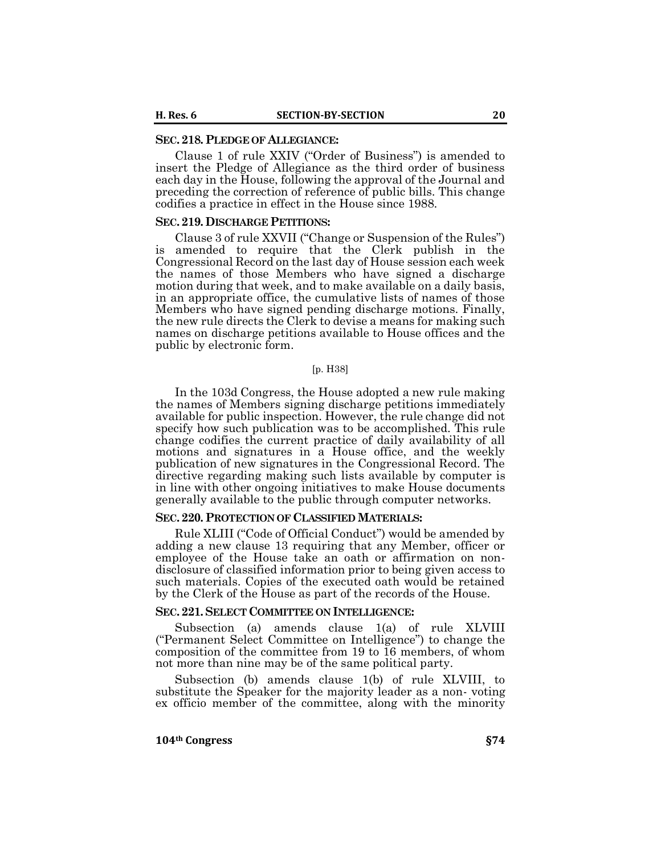#### **SEC.218. PLEDGE OF ALLEGIANCE:**

Clause 1 of rule XXIV ("Order of Business") is amended to insert the Pledge of Allegiance as the third order of business each day in the House, following the approval of the Journal and preceding the correction of reference of public bills. This change codifies a practice in effect in the House since 1988.

#### **SEC.219. DISCHARGE PETITIONS:**

Clause 3 of rule XXVII ("Change or Suspension of the Rules") is amended to require that the Clerk publish in the Congressional Record on the last day of House session each week the names of those Members who have signed a discharge motion during that week, and to make available on a daily basis, in an appropriate office, the cumulative lists of names of those Members who have signed pending discharge motions. Finally, the new rule directs the Clerk to devise a means for making such names on discharge petitions available to House offices and the public by electronic form.

#### [p. H38]

In the 103d Congress, the House adopted a new rule making the names of Members signing discharge petitions immediately available for public inspection. However, the rule change did not specify how such publication was to be accomplished. This rule change codifies the current practice of daily availability of all motions and signatures in a House office, and the weekly publication of new signatures in the Congressional Record. The directive regarding making such lists available by computer is in line with other ongoing initiatives to make House documents generally available to the public through computer networks.

#### **SEC.220. PROTECTION OF CLASSIFIED MATERIALS:**

Rule XLIII ("Code of Official Conduct") would be amended by adding a new clause 13 requiring that any Member, officer or employee of the House take an oath or affirmation on nondisclosure of classified information prior to being given access to such materials. Copies of the executed oath would be retained by the Clerk of the House as part of the records of the House.

#### **SEC.221.SELECT COMMITTEE ON INTELLIGENCE:**

Subsection (a) amends clause 1(a) of rule XLVIII ("Permanent Select Committee on Intelligence") to change the composition of the committee from 19 to 16 members, of whom not more than nine may be of the same political party.

Subsection (b) amends clause 1(b) of rule XLVIII, to substitute the Speaker for the majority leader as a non- voting ex officio member of the committee, along with the minority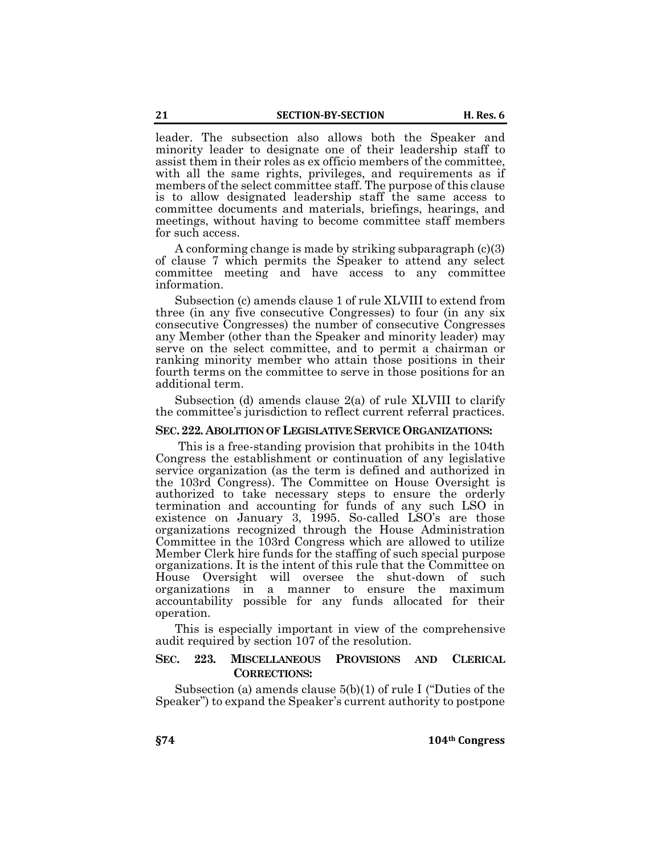leader. The subsection also allows both the Speaker and minority leader to designate one of their leadership staff to assist them in their roles as ex officio members of the committee, with all the same rights, privileges, and requirements as if members of the select committee staff. The purpose of this clause is to allow designated leadership staff the same access to committee documents and materials, briefings, hearings, and meetings, without having to become committee staff members for such access.

A conforming change is made by striking subparagraph (c)(3) of clause 7 which permits the Speaker to attend any select committee meeting and have access to any committee information.

Subsection (c) amends clause 1 of rule XLVIII to extend from three (in any five consecutive Congresses) to four (in any six consecutive Congresses) the number of consecutive Congresses any Member (other than the Speaker and minority leader) may serve on the select committee, and to permit a chairman or ranking minority member who attain those positions in their fourth terms on the committee to serve in those positions for an additional term.

Subsection (d) amends clause 2(a) of rule XLVIII to clarify the committee's jurisdiction to reflect current referral practices.

### **SEC.222. ABOLITION OF LEGISLATIVE SERVICE ORGANIZATIONS:**

This is a free-standing provision that prohibits in the 104th Congress the establishment or continuation of any legislative service organization (as the term is defined and authorized in the 103rd Congress). The Committee on House Oversight is authorized to take necessary steps to ensure the orderly termination and accounting for funds of any such LSO in existence on January 3, 1995. So-called LSO's are those organizations recognized through the House Administration Committee in the 103rd Congress which are allowed to utilize Member Clerk hire funds for the staffing of such special purpose organizations. It is the intent of this rule that the Committee on House Oversight will oversee the shut-down of such organizations in a manner to ensure the maximum accountability possible for any funds allocated for their operation.

This is especially important in view of the comprehensive audit required by section 107 of the resolution.

# **SEC. 223. MISCELLANEOUS PROVISIONS AND CLERICAL CORRECTIONS:**

Subsection (a) amends clause 5(b)(1) of rule I ("Duties of the Speaker") to expand the Speaker's current authority to postpone